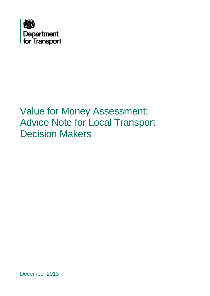

## Value for Money Assessment: Advice Note for Local Transport Decision Makers

December 2013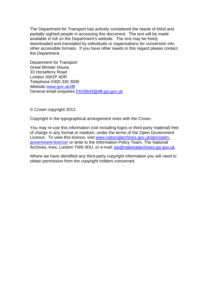The Department for Transport has actively considered the needs of blind and partially sighted people in accessing this document. The text will be made available in full on the Department's website. The text may be freely downloaded and translated by individuals or organisations for conversion into other accessible formats. If you have other needs in this regard please contact the Department.

Department for Transport Great Minster House 33 Horseferry Road London SW1P 4DR Telephone 0300 330 3000 Website [www.gov.uk/dft](http://www.gov.uk/dft) General email enquiries [FAX9643@dft.gsi.gov.uk](mailto:FAX9643@dft.gsi.gov.uk)

© Crown copyright 2013

Copyright in the typographical arrangement rests with the Crown.

You may re-use this information (not including logos or third-party material) free of charge in any format or medium, under the terms of the Open Government Licence. To view this licence, visit [www.nationalarchives.gov.uk/doc/open](http://www.nationalarchives.gov.uk/doc/open-government-licence/)[government-licence/](http://www.nationalarchives.gov.uk/doc/open-government-licence/) or write to the Information Policy Team, The National Archives, Kew, London TW9 4DU, or e-mail: [psi@nationalarchives.gsi.gov.uk](mailto:psi@nationalarchives.gsi.gov.uk).

Where we have identified any third-party copyright information you will need to obtain permission from the copyright holders concerned.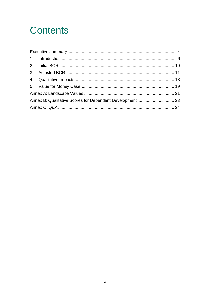## **Contents**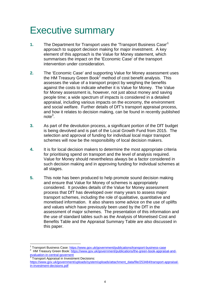## <span id="page-3-0"></span>Executive summary

- **1.** The Department for Transport uses the 'Transport Business Case'<sup>1</sup> approach to support decision making for major investment. A key element of this approach is the Value for Money statement, which summarises the impact on the 'Economic Case' of the transport intervention under consideration.
- **2.** The 'Economic Case' and supporting Value for Money assessment uses the HM Treasury Green Book<sup>2</sup> method of cost benefit analysis. This assesses the value of a transport project by weighing the benefits against the costs to indicate whether it is Value for Money. The Value for Money assessment is, however, not just about money and saving people time; a wide spectrum of impacts is considered in a detailed appraisal, including various impacts on the economy, the environment and social welfare. Further details of DfT's transport appraisal process, and how it relates to decision making, can be found in recently published note $^3$ .
- **3.** As part of the devolution process, a significant portion of the DfT budget is being devolved and is part of the Local Growth Fund from 2015. The selection and approval of funding for individual local major transport schemes will now be the responsibility of local decision makers.
- **4.** It is for local decision makers to determine the most appropriate criteria for prioritising spend on transport and the level of analysis required. Value for Money should nevertheless always be a factor considered in such decision making and in approving funding for individual schemes at all stages.
- **5.** This note has been produced to help promote sound decision making and ensure that Value for Money of schemes is appropriately considered. It provides details of the Value for Money assessment process that DfT has developed over many years to assess major transport schemes, including the role of qualitative, quantitative and monetised information. It also shares some advice on the use of uplifts and values which have previously been used by the DfT in the assessment of major schemes. The presentation of this information and the use of standard tables such as the Analysis of Monetised Cost and Benefits Table and the Appraisal Summary Table are also discussed in this paper.

<sup>&</sup>lt;sup>1</sup> Transport Business Case: https://www.gov.uk/government/publications/transport-business-case

HM Treasury Green Book: https://www.gov.uk/government/publications/the-green-book-appraisal-andevaluation-in-central-governent

**Transport Appraisal in Investment Decisions:** https://www.gov.uk/government/uploads/system/uploads/attachment\_data/file/253484/transport-appraisalin-investment-decisions.pdf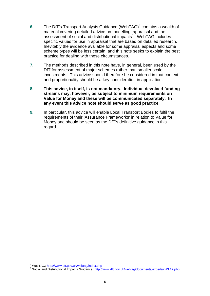- 6. The DfT's Transport Analysis Guidance (WebTAG)<sup>4</sup> contains a wealth of material covering detailed advice on modelling, appraisal and the assessment of social and distributional impacts<sup>5</sup>. WebTAG includes specific values for use in appraisal that are based on detailed research. Inevitably the evidence available for some appraisal aspects and some scheme types will be less certain; and this note seeks to explain the best practice for dealing with these circumstances.
- **7.** The methods described in this note have, in general, been used by the DfT for assessment of major schemes rather than smaller scale investments. This advice should therefore be considered in that context and proportionality should be a key consideration in application.
- **8. This advice, in itself, is not mandatory. Individual devolved funding streams may, however, be subject to minimum requirements on Value for Money and these will be communicated separately. In any event this advice note should serve as good practice.**
- **9.** In particular, this advice will enable Local Transport Bodies to fulfil the requirements of their 'Assurance Frameworks' in relation to Value for Money and should be seen as the DfT's definitive guidance in this regard.

<sup>1</sup> <sup>4</sup> WebTAG: http://www.dft.gov.uk/webtag/index.php

<sup>&</sup>lt;sup>4</sup> WebTAG: <u>http://www.dft.gov.uk/webtag/index.php</u><br><sup>5</sup> Social and Distributional Impacts Guidance: <u>http://www.dft.gov.uk/webtag/documents/expert/unit3.17.php</u><br>5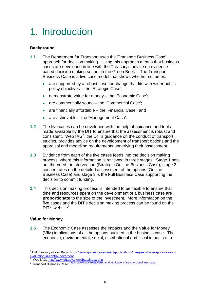## <span id="page-5-0"></span>1. Introduction

### **Background**

- **1.1** The Department for Transport uses the 'Transport Business Case' approach for decision making. Using this approach means that business cases are developed in line with the Treasury's advice on evidencebased decision making set out in the Green Book<sup>6</sup>. The Transport Business Case is a five case model that shows whether schemes:
	- are supported by a robust case for change that fits with wider public policy objectives – the 'Strategic Case';
	- demonstrate value for money the 'Economic Case';
	- are commercially sound the 'Commercial Case';
	- are financially affordable the 'Financial Case'; and
	- are achievable the 'Management Case'.
- **1.2** The five cases can be developed with the help of guidance and tools made available by the DfT to ensure that the assessment is robust and consistent. WebTAG<sup>7</sup>, the DfT's guidance on the conduct of transport studies, provides advice on the development of transport options and the appraisal and modelling requirements underlying their assessment.
- **1.3** Evidence from each of the five cases feeds into the decision making process, where this information is reviewed in three stages. Stage 1 sets out the need for intervention (Strategic Outline Business Case), stage 2 concentrates on the detailed assessment of the options (Outline Business Case) and stage 3 is the Full Business Case supporting the decision to commit funding.
- **1.4** This decision making process is intended to be flexible to ensure that time and resources spent on the development of a business case are **proportionate** to the size of the investment. More information on the five cases and the DfT's decision making process can be found on the DfT's website $8$ .

### **Value for Money**

1

**1.5** The Economic Case assesses the impacts and the Value for Money (VfM) implications of all the options outlined in the business case. The economic, environmental, social, distributional and fiscal impacts of a

<sup>&</sup>lt;sup>6</sup> HM Treasury Green Book: https://www.gov.uk/government/publications/the-green-book-appraisal-andevaluation-in-central-governent<br>7 MobTAC: http://www.dft.gov

<sup>7</sup> WebTAG: http://www.dft.gov.uk/webtag/index.php<br>8 Transport Business Case: https://www.gov.uk/government/publications/transport-business-case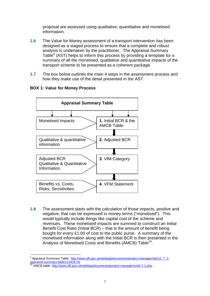proposal are assessed using qualitative, quantitative and monetised information.

- **1.6** The Value for Money assessment of a transport intervention has been designed as a staged process to ensure that a complete and robust analysis is undertaken by the practitioner. The Appraisal Summary Table<sup>9</sup> (AST) helps to inform this process by providing a template for a summary of all the monetised, qualitative and quantitative impacts of the transport scheme to be presented as a coherent package.
- **1.7** The box below outlines the main 4 steps in the assessment process and how they make use of the detail presented in the AST.



### **BOX 1: Value for Money Process**

**1.8** The assessment starts with the calculation of those impacts, positive and negative, that can be expressed in money terms ("monetised"). This would typically include things like capital cost of the scheme and revenues. These monetised impacts are summed to construct an Initial Benefit Cost Ratio (Initial BCR) – that is the amount of benefit being bought for every £1.00 of cost to the public purse. A summary of the monetised information along with the Initial BCR is then presented in the Analysis of Monetised Costs and Benefits (AMCB) Table<sup>10</sup>.

<sup>&</sup>lt;sup>9</sup> Appraisal Summary Table: http://www.dft.gov.uk/webtag/documents/project-manager/xls/U2\_7\_2appraisal-summary-table110418.xls

<sup>&</sup>lt;sup>10</sup> AMCB table: http://www.dft.gov.uk/webtag/documents/project-manager/unit2.7.1.php<br>7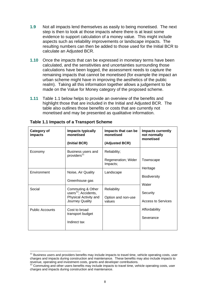- **1.9** Not all impacts lend themselves as easily to being monetised. The next step is then to look at those impacts where there is at least some evidence to support calculation of a money value. This might include aspects such as reliability improvements or landscape impacts. The resulting numbers can then be added to those used for the Initial BCR to calculate an Adjusted BCR.
- **1.10** Once the impacts that can be expressed in monetary terms have been calculated, and the sensitivities and uncertainties surrounding those calculations have been logged, the assessment needs to capture the remaining impacts that cannot be monetised (for example the impact an urban scheme might have in improving the aesthetics of the public realm). Taking all this information together allows a judgement to be made on the Value for Money category of the proposed scheme.
- **1.11** Table 1.1 below helps to provide an overview of the benefits and highlight those that are included in the Initial and Adjusted BCR. The table also outlines those benefits or costs that are currently not monetised and may be presented as qualitative information.

| Category of<br>impacts | Impacts typically<br>monetised                                                                    | Impacts that can be<br>monetised            | <b>Impacts currently</b><br>not normally<br>monetised                             |
|------------------------|---------------------------------------------------------------------------------------------------|---------------------------------------------|-----------------------------------------------------------------------------------|
|                        | (Initial BCR)                                                                                     | (Adjusted BCR)                              |                                                                                   |
| Economy                | Business users and<br>providers <sup>11</sup>                                                     | Reliability;                                |                                                                                   |
|                        |                                                                                                   | Regeneration; Wider<br>Impacts;             | Townscape                                                                         |
| Environment            | Noise, Air Quality<br>Greenhouse gas                                                              | Landscape                                   | Heritage<br><b>Biodiversity</b><br>Water<br>Security<br><b>Access to Services</b> |
| Social                 | Commuting & Other<br>users <sup>12</sup> ; Accidents,<br>Physical Activity and<br>Journey Quality | Reliability<br>Option and non-use<br>values |                                                                                   |
| <b>Public Accounts</b> | Cost to broad<br>transport budget<br>Indirect tax                                                 |                                             | Affordability<br>Severance                                                        |

|  |  |  | <b>Table 1.1 Impacts of a Transport Scheme</b> |  |
|--|--|--|------------------------------------------------|--|
|--|--|--|------------------------------------------------|--|

 charges and impacts during construction and maintenance. These benefits may also include impacts to  $11$  Business users and providers benefits may include impacts to travel time, vehicle operating costs, user revenue, operating and investment costs, grants and developer contributions.<br><sup>12</sup> Commuting and other users benefits may include impacts to travel time, vehicle operating costs, user

 charges and impacts during construction and maintenance. 8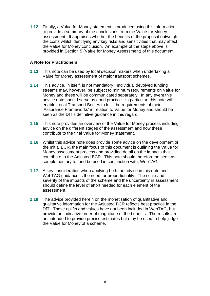**1.12** Finally, a Value for Money statement is produced using this information to provide a summary of the conclusions from the Value for Money assessment. It appraises whether the benefits of the proposal outweigh the costs whilst identifying any key risks and sensitivities that may affect the Value for Money conclusion. An example of the steps above is provided in Section 5 (Value for Money Assessment) of this document.

#### **A Note for Practitioners**

- **1.13** This note can be used by local decision makers when undertaking a Value for Money assessment of major transport schemes.
- **1.14** This advice, in itself, is not mandatory. Individual devolved funding streams may, however, be subject to minimum requirements on Value for Money and these will be communicated separately. In any event this advice note should serve as good practice. In particular, this note will enable Local Transport Bodies to fulfil the requirements of their 'Assurance Frameworks' in relation to Value for Money and should be seen as the DfT's definitive guidance in this regard.
- **1.15** This note provides an overview of the Value for Money process including advice on the different stages of the assessment and how these contribute to the final Value for Money statement.
- **1.16** Whilst this advice note does provide some advice on the development of the Initial BCR, the main focus of this document is outlining the Value for Money assessment process and providing detail on the impacts that contribute to the Adjusted BCR. This note should therefore be seen as complementary to, and be used in conjunction with, WebTAG.
- **1.17** A key consideration when applying both the advice in this note and WebTAG guidance is the need for proportionality. The scale and severity of the impacts of the scheme and the uncertainty in assessment should define the level of effort needed for each element of the assessment.
- **1.18** The advice provided herein on the monetisation of quantitative and qualitative information for the Adjusted BCR reflects best practice in the DfT. These uplifts and values have not been included in WebTAG, but provide an indicative order of magnitude of the benefits. The results are not intended to provide precise estimates but may be used to help judge the Value for Money of a scheme.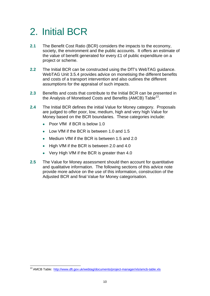# <span id="page-9-0"></span>2. Initial BCR

- **2.1** The Benefit Cost Ratio (BCR) considers the impacts to the economy, society, the environment and the public accounts. It offers an estimate of the value of benefit generated for every £1 of public expenditure on a project or scheme.
- **2.2** The Initial BCR can be constructed using the DfT's WebTAG guidance. WebTAG Unit 3.5.4 provides advice on monetising the different benefits and costs of a transport intervention and also outlines the different assumptions for the appraisal of such impacts.
- **2.3** Benefits and costs that contribute to the Initial BCR can be presented in the Analysis of Monetised Costs and Benefits (AMCB) Table<sup>13</sup>.
- **2.4** The Initial BCR defines the initial Value for Money category. Proposals are judged to offer poor, low, medium, high and very high Value for Money based on the BCR boundaries. These categories include:
	- Poor VfM if BCR is below 1.0
	- Low VfM if the BCR is between 1.0 and 1.5
	- Medium VfM if the BCR is between 1.5 and 2.0
	- High VfM if the BCR is between 2.0 and 4.0
	- Very High VfM if the BCR is greater than 4.0
- **2.5** The Value for Money assessment should then account for quantitative and qualitative information. The following sections of this advice note provide more advice on the use of this information, construction of the Adjusted BCR and final Value for Money categorisation.

<sup>1</sup> <sup>13</sup> AMCB Table: http://www.dft.gov.uk/webtag/documents/project-manager/xls/amcb-table.xls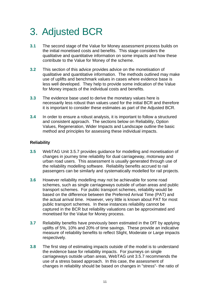# <span id="page-10-0"></span>3. Adjusted BCR

- **3.1** The second stage of the Value for Money assessment process builds on the initial monetised costs and benefits. This stage considers the qualitative and quantitative information on some impacts and how these contribute to the Value for Money of the scheme.
- **3.2** This section of this advice provides advice on the monetisation of qualitative and quantitative information. The methods outlined may make use of uplifts and benchmark values in cases where evidence base is less well developed. They help to provide some indication of the Value for Money impacts of the individual costs and benefits.
- **3.3** The evidence base used to derive the monetary values here is necessarily less robust than values used for the initial BCR and therefore it is important to consider these estimates as part of the Adjusted BCR.
- **3.4** In order to ensure a robust analysis, it is important to follow a structured and consistent approach. The sections below on Reliability, Option Values, Regeneration, Wider Impacts and Landscape outline the basic method and principles for assessing these individual impacts.

### **Reliability**

- **3.5** WebTAG Unit 3.5.7 provides guidance for modelling and monetisation of changes in journey time reliability for dual carriageway, motorway and urban road users. This assessment is usually generated through use of the reliability modelling software. Reliability benefits accrued to rail passengers can be similarly and systematically modelled for rail projects.
- **3.6** However reliability modelling may not be achievable for some road schemes, such as single carriageways outside of urban areas and public transport schemes. For public transport schemes, reliability would be based on the difference between the Preferred Arrival Time (PAT) and the actual arrival time. However, very little is known about PAT for most public transport schemes. In these instances reliability cannot be captured in the BCR but reliability valuations can be approximated and monetised for the Value for Money process.
- **3.7** Reliability benefits have previously been estimated in the DfT by applying uplifts of 5%, 10% and 20% of time savings. These provide an indicative measure of reliability benefits to reflect Slight, Moderate or Large impacts respectively.
- **3.8** The first step of estimating impacts outside of the model is to understand the evidence base for reliability impacts. For journeys on single carriageways outside urban areas, WebTAG unit 3.5.7 recommends the use of a stress based approach. In this case, the assessment of changes in reliability should be based on changes in "stress"- the ratio of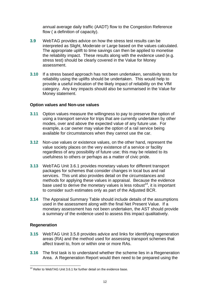annual average daily traffic (AADT) flow to the Congestion Reference flow ( a definition of capacity).

- **3.9** WebTAG provides advice on how the stress test results can be interpreted as Slight, Moderate or Large based on the values calculated. The appropriate uplift to time savings can then be applied to monetise the reliability impact. These results along with the evidence used (e.g. stress test) should be clearly covered in the Value for Money assessment.
- **3.10** If a stress based approach has not been undertaken, sensitivity tests for reliability using the uplifts should be undertaken. This would help to provide a useful indication of the likely impact of reliability on the VfM category. Any key impacts should also be summarised in the Value for Money statement.

#### **Option values and Non-use values**

- **3.11** Option values measure the willingness to pay to preserve the option of using a transport service for trips that are currently undertaken by other modes, over and above the expected value of any future use. For example, a car owner may value the option of a rail service being available for circumstances when they cannot use the car.
- **3.12** Non-use values or existence values, on the other hand, represent the value society places on the very existence of a service or facility regardless of any possibility of future use; this may be related to its usefulness to others or perhaps as a matter of civic pride.
- **3.13** WebTAG Unit 3.6.1 provides monetary values for different transport packages for schemes that consider changes in local bus and rail services. This unit also provides detail on the circumstances and methods for applying these values in appraisal. Because the evidence base used to derive the monetary values is less robust<sup>14</sup>, it is important to consider such estimates only as part of the Adjusted BCR.
- **3.14** The Appraisal Summary Table should include details of the assumptions used in the assessment along with the final Net Present Value. If a monetary assessment has not been undertaken, the AST should provide a summary of the evidence used to assess this impact qualitatively.

### **Regeneration**

- **3.15** WebTAG Unit 3.5.8 provides advice and links for identifying regeneration areas (RA) and the method used for assessing transport schemes that affect travel to, from or within one or more RAs.
- **3.16** The first task is to understand whether the scheme lies in a Regeneration Area. A Regeneration Report would then need to be prepared using the

<sup>1</sup> <sup>14</sup> Refer to WebTAG Unit 3.6.1 for further detail on the evidence base.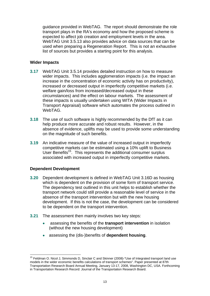guidance provided in WebTAG. The report should demonstrate the role transport plays in the RA's economy and how the proposed scheme is expected to affect job creation and employment levels in the area. WebTAG Unit 3.5.13 also provides advice on data sources that can be used when preparing a Regeneration Report. This is not an exhaustive list of sources but provides a starting point for this analysis.

#### **Wider Impacts**

- **3.17** WebTAG Unit 3.5.14 provides detailed instruction on how to measure wider impacts. This includes agglomeration impacts (i.e. the impact an increase in the concentration of economic activity has on productivity), increased or decreased output in imperfectly competitive markets (i.e. welfare gain/loss from increased/decreased output in these circumstances) and the effect on labour markets. The assessment of these impacts is usually undertaken using WITA (Wider Impacts in Transport Appraisal) software which automates the process outlined in WebTAG.
- **3.18** The use of such software is highly recommended by the DfT as it can help produce more accurate and robust results. However, in the absence of evidence, uplifts may be used to provide some understanding on the magnitude of such benefits.
- **3.19** An indicative measure of the value of increased output in imperfectly competitive markets can be estimated using a 10% uplift to Business User Benefits<sup>15</sup>. This represents the additional consumer surplus associated with increased output in imperfectly competitive markets.

#### **Dependent Development**

- **3.20** Dependent development is defined in WebTAG Unit 3.16D as housing which is dependent on the provision of some form of transport service. The dependency test outlined in this unit helps to establish whether the transport network could still provide a reasonable level of service in the absence of the transport intervention but with the new housing development. If this is not the case, the development can be considered to be dependent on the transport intervention.
- **3.21** The assessment then mainly involves two key steps:
	- assessing the benefits of the **transport intervention** in isolation (without the new housing development)
	- assessing the (dis-)benefits of **dependent housing**.

<sup>&</sup>lt;sup>15</sup> Feldman O. Nicol J, Simmonds D, Sinclair C and Skinner (2008)-"Use of Integrated transport land use models in the wider economic benefits calculations of transport schemes". Paper presented at 87th Transportation Research Board Annual Meeting, January 13-17, 2008, Washington DC, USA. Forthcoming in Transportation Research Record: Journal of the Transportation Research Board.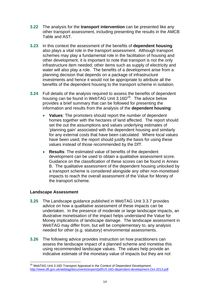- **3.22** The analysis for the **transport intervention** can be presented like any other transport assessment, including presenting the results in the AMCB Table and AST.
- **3.23** In this context the assessment of the benefits of **dependent housing**  also plays a vital role in the transport assessment. Although transport schemes may play a fundamental role in the facilitation of housing and other development, it is important to note that transport is not the only infrastructure item needed; other items such as supply of electricity and water will also play a role. The benefits of a development arise from a planning decision that depends on a package of infrastructure investments and hence it would not be appropriate to attribute all the benefits of the dependent housing to the transport scheme in isolation.
- **3.24** Full details of the analysis required to assess the benefits of dependent housing can be found in WebTAG Unit  $3.16D^{16}$ . The advice below provides a brief summary that can be followed for presenting the information and results from the analysis of the **dependent housing**:
	- **Values**: The promoters should report the number of dependent homes together with the hectares of land affected. The report should set the out the assumptions and values underlying estimates of 'planning gain' associated with the dependent housing and similarly for any external costs that have been calculated. Where local values have been used, the report should justify the basis for using these values instead of those recommended by the DfT.
	- **Results**: The estimated value of benefits of the dependent development can be used to obtain a qualitative assessment score. Guidance on the classification of these scores can be found in Annex B. The qualitative assessment of the dependent housing unlocked by a transport scheme is considered alongside any other non-monetised impacts to reach the overall assessment of the Value for Money of the transport scheme.

### **Landscape Assessment**

- **3.25** The Landscape guidance published in WebTAG Unit 3.3.7 provides advice on how a qualitative assessment of these impacts can be undertaken. In the presence of moderate or large landscape impacts, an illustrative monetisation of the impact helps understand the Value for Money implications of landscape damage. The landscape assessment in WebTAG may differ from, but will be complementary to, any analysis needed for other (e.g. statutory) environmental assessments.
- **3.26** The following advice provides instruction on how practitioners can assess the landscape impact of a planned scheme and monetise this using recommended landscape values. The values help provide an indicative estimate of the monetary value of impacts but they are not

<sup>1</sup> <sup>16</sup> WebTAG Unit 3.16D Transport Appraisal in the Context of Dependent Development: http://www.dft.gov.uk/webtag/documents/expert/pdf/U3-16D-dependent-development-Oct-2013.pdf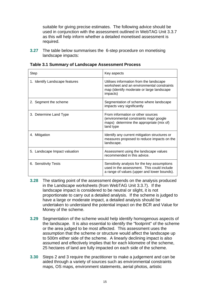suitable for giving precise estimates. The following advice should be used in conjunction with the assessment outlined in WebTAG Unit 3.3.7 as this will help inform whether a detailed monetised assessment is required.

**3.27** The table below summarises the 6-step procedure on monetising landscape impacts:

| Step                           | Key aspects                                                                                                                                    |
|--------------------------------|------------------------------------------------------------------------------------------------------------------------------------------------|
| 1. Identify Landscape features | Utilises information from the landscape<br>worksheet and an environmental constraints<br>map (identify moderate or large landscape<br>impacts) |
| 2. Segment the scheme          | Segmentation of scheme where landscape<br>impacts vary significantly                                                                           |
| 3. Determine Land Type         | From information or other sources<br>(environmental constraints map/ google<br>maps) determine the appropriate (mix of)<br>land type           |
| 4. Mitigation                  | Identify any current mitigation structures or<br>measures proposed to reduce impacts on the<br>landscape.                                      |
| 5. Landscape Impact valuation  | Assessment using the landscape values<br>recommended in this advice.                                                                           |
| 6. Sensitivity Tests           | Sensitivity analysis for the key assumptions<br>used in the assessment. This could include<br>a range of values (upper and lower bounds).      |

**Table 3.1 Summary of Landscape Assessment Process** 

- **3.28** The starting point of the assessment depends on the analysis produced in the Landscape worksheets (from WebTAG Unit 3.3.7). If the landscape impact is considered to be neutral or slight, it is not proportionate to carry out a detailed analysis. If the scheme is judged to have a large or moderate impact, a detailed analysis should be undertaken to understand the potential impact on the BCR and Value for Money of the scheme.
- **3.29** Segmentation of the scheme would help identify homogenous aspects of the landscape. It is also essential to identify the "footprint" of the scheme or the area judged to be most affected. This assessment uses the assumption that the scheme or structure would affect the landscape up to 500m either side of the scheme. A linearly declining impact is also assumed and effectively implies that for each kilometre of the scheme, 25 hectares of land are fully impacted on each side of the scheme.
- **3.30** Steps 2 and 3 require the practitioner to make a judgement and can be aided through a variety of sources such as environmental constraints maps, OS maps, environment statements, aerial photos, artistic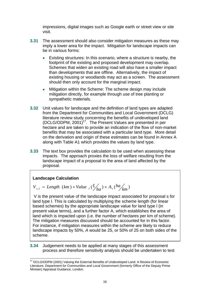impressions, digital images such as Google earth or street view or site visit.

- **3.31** The assessment should also consider mitigation measures as these may imply a lower area for the impact. Mitigation for landscape impacts can be in various forms:
	- Existing structures: In this scenario, where a structure is nearby, the footprint of the existing and proposed development may overlap. Schemes that widen an existing road will also have a smaller impact than developments that are offline. Alternatively, the impact of existing housing or woodlands may act as a screen. The assessment should then only account for the marginal impact.
	- Mitigation within the Scheme: The scheme design may include mitigation directly, for example through use of tree planting or sympathetic materials.
- **3.32** Unit values for landscape and the definition of land types are adapted from the Department for Communities and Local Government (DCLG) literature review study concerning the benefits of undeveloped land (DCLG/ODPM, 2001)17. The Present Values are presented in per hectare and are taken to provide an indication of the flow of non-market benefits that may be associated with a particular land type. More detail on the derivation and origin of these estimates can be found in Annex A along with Table A1 which provides the values by land type.
- **3.33** The text box provides the calculation to be used when assessing these impacts. The approach proxies the loss of welfare resulting from the landscape impact of a proposal to the area of land affected by the proposal.

### **Landscape Calculation**

1

$$
V_{s,I} = Length (km) \times Value_I (\frac{f}{ha}) \times A_s (ha/m)
$$

 V is the present value of the landscape impact associated for proposal s for land type l. This is calculated by multiplying the scheme length (for linear based schemes) by the appropriate landscape value for land type l (in present value terms), and a further factor A, which establishes the area of land which is impacted upon (i.e. the number of hectares per km of scheme). The mitigation measures discussed should be accounted for in this factor. For instance, if mitigation measures within the scheme are likely to reduce landscape impacts by 50%, *A* would be 25, or 50% of 25 on both sides of the scheme.

**3.34** Judgement needs to be applied at many stages of this assessment process and therefore sensitivity analysis should be undertaken to test

<sup>&</sup>lt;sup>17</sup> DCLG/ODPM (2001) Valuing the External Benefits of Undeveloped Land: A Review of Economic Literature, Department for Communities and Local Government (formerly Office of the Deputy Prime Minister) Appraisal Guidance, London.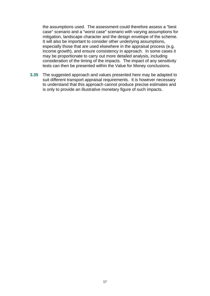the assumptions used. The assessment could therefore assess a "best case" scenario and a "worst case" scenario with varying assumptions for mitigation, landscape character and the design envelope of the scheme. It will also be important to consider other underlying assumptions, especially those that are used elsewhere in the appraisal process (e.g. income growth), and ensure consistency in approach. In some cases it may be proportionate to carry out more detailed analysis, including consideration of the timing of the impacts. The impact of any sensitivity tests can then be presented within the Value for Money conclusions.

**3.35** The suggested approach and values presented here may be adapted to suit different transport appraisal requirements. It is however necessary to understand that this approach cannot produce precise estimates and is only to provide an illustrative monetary figure of such impacts.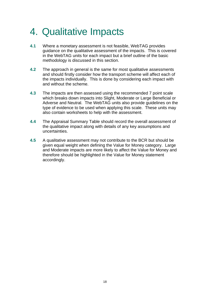## <span id="page-17-0"></span>4. Qualitative Impacts

- **4.1** Where a monetary assessment is not feasible, WebTAG provides guidance on the qualitative assessment of the impacts. This is covered in the WebTAG units for each impact but a brief outline of the basic methodology is discussed in this section.
- **4.2** The approach in general is the same for most qualitative assessments and should firstly consider how the transport scheme will affect each of the impacts individually. This is done by considering each impact with and without the scheme.
- **4.3** The impacts are then assessed using the recommended 7 point scale which breaks down impacts into Slight, Moderate or Large Beneficial or Adverse and Neutral. The WebTAG units also provide guidelines on the type of evidence to be used when applying this scale. These units may also contain worksheets to help with the assessment.
- **4.4** The Appraisal Summary Table should record the overall assessment of the qualitative impact along with details of any key assumptions and uncertainties.
- **4.5** A qualitative assessment may not contribute to the BCR but should be given equal weight when defining the Value for Money category. Large and Moderate impacts are more likely to affect the Value for Money and therefore should be highlighted in the Value for Money statement accordingly.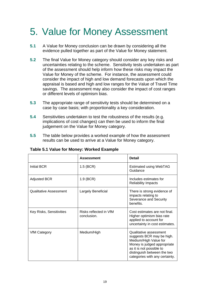## 5. Value for Money Assessment

- **5.1** A Value for Money conclusion can be drawn by considering all the evidence pulled together as part of the Value for Money statement.
- **5.2** The final Value for Money category should consider any key risks and uncertainties relating to the scheme. Sensitivity tests undertaken as part of the assessment should help inform how these risks may impact the Value for Money of the scheme. For instance, the assessment could consider the impact of high and low demand forecasts upon which the appraisal is based and high and low ranges for the Value of Travel Time savings. The assessment may also consider the impact of cost ranges or different levels of optimism bias.
- **5.3** The appropriate range of sensitivity tests should be determined on a case by case basis; with proportionality a key consideration.
- **5.4** Sensitivities undertaken to test the robustness of the results (e.g. implications of cost changes) can then be used to inform the final judgement on the Value for Money category.
- **5.5** The table below provides a worked example of how the assessment results can be used to arrive at a Value for Money category.

|                          | <b>Assessment</b>                     | <b>Detail</b>                                                                                                                                                                                            |
|--------------------------|---------------------------------------|----------------------------------------------------------------------------------------------------------------------------------------------------------------------------------------------------------|
| Initial BCR              | $1.5$ (BCR)                           | <b>Estimated using WebTAG</b><br>Guidance                                                                                                                                                                |
| <b>Adjusted BCR</b>      | $1.9$ (BCR)                           | Includes estimates for<br><b>Reliability Impacts</b>                                                                                                                                                     |
| Qualitative Assessment   | Largely Beneficial                    | There is strong evidence of<br>impacts relating to<br>Severance and Security<br>benefits.                                                                                                                |
| Key Risks, Sensitivities | Risks reflected in VfM<br>conclusion. | Cost estimates are not final.<br>Higher optimism bias rate<br>applied to account for<br>uncertainty in cost estimates.                                                                                   |
| <b>VfM Category</b>      | Medium/High                           | Qualitative assessment<br>suggests BCR may be high.<br>Medium/High Value for<br>Money is judged appropriate<br>as it is not possible to<br>distinguish between the two<br>categories with any certainty. |

**Table 5.1 Value for Money: Worked Example**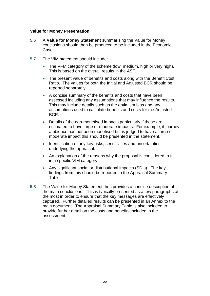#### **Value for Money Presentation**

- **5.6** A **Value for Money Statement** summarising the Value for Money conclusions should then be produced to be included in the Economic Case.
- **5.7** The VfM statement should include:
	- The VFM category of the scheme (low, medium, high or very high). This is based on the overall results in the AST.
	- The present value of benefits and costs along with the Benefit Cost Ratio. The values for both the Initial and Adjusted BCR should be reported separately.
	- A concise summary of the benefits and costs that have been assessed including any assumptions that may influence the results. This may include details such as the optimism bias and any assumptions used to calculate benefits and costs for the Adjusted BCR.
	- Details of the non-monetised impacts particularly if these are estimated to have large or moderate impacts. For example, if journey ambience has not been monetised but is judged to have a large or moderate impact this should be presented in the statement.
	- Identification of any key risks, sensitivities and uncertainties underlying the appraisal.
	- An explanation of the reasons why the proposal is considered to fall in a specific VfM category.
	- Any significant social or distributional impacts (SDIs). The key findings from this should be reported in the Appraisal Summary Table.
- **5.8** The Value for Money Statement thus provides a concise description of the main conclusions. This is typically presented as a few paragraphs at the most in order to ensure that the key messages are effectively captured. Further detailed results can be presented in an Annex to the main document. The Appraisal Summary Table is also included to provide further detail on the costs and benefits included in the assessment.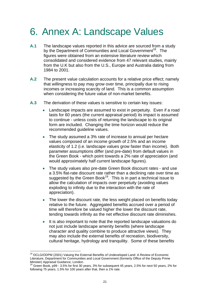## <span id="page-20-0"></span>6. Annex A: Landscape Values

- **A.1** The landscape values reported in this advice are sourced from a study by the Department of Communities and Local Government<sup>18</sup>. The figures were obtained from an extensive literature review which consolidated and considered evidence from 47 relevant studies, mainly from the U.K but also from the U.S., Europe and Australia dating from 1984 to 2001.
- **A.2** The present value calculation accounts for a relative price effect; namely that willingness to pay may grow over time, principally due to rising incomes or increasing scarcity of land. This is a common assumption when considering the future value of non-market benefits.
- **A.3** The derivation of these values is sensitive to certain key issues:
	- Landscape impacts are assumed to exist in perpetuity. Even if a road lasts for 60 years (the current appraisal period) its impact is assumed to continue - unless costs of returning the landscape to its original form are included. Changing the time horizon would reduce the recommended guideline values.
	- The study assumed a 3% rate of increase to annual per hectare values composed of an income growth of 2.5% and an income elasticity of 1.2 (i.e. landscape values grow faster than income). Both parameter assumptions differ (and pre-date) from default values in the Green Book - which point towards a 2% rate of appreciation (and would approximately half current landscape figures).
	- The study values also pre-date Green Book discount rates and use a 3.5% flat-rate discount rate rather than a declining rate over time as suggested by the Green Book<sup>19</sup>. This is in part a technical issue to allow the calculation of impacts over perpetuity (avoiding values exploding to infinity due to the interaction with the rate of appreciation).
	- The lower the discount rate, the less weight placed on benefits today relative to the future. Aggregated benefits accrued over a period of time will therefore be valued higher the lower the discount rate, tending towards infinity as the net effective discount rate diminishes.
	- It is also important to note that the reported landscape valuations do not just include landscape amenity benefits (where landscape character and quality combine to produce attractive views). They may also include the external benefits of recreation, biodiversity, cultural heritage, hydrology and tranquility. Some of these benefits

<sup>1</sup> <sup>18</sup> DCLG/ODPM (2001) Valuing the External Benefits of Undeveloped Land: A Review of Economic Literature, Department for Communities and Local Government (formerly Office of the Deputy Prime Minister) Appraisal Guidance, London.

<sup>&</sup>lt;sup>19</sup> Green Book, p99 - 3.5% for first 30 years, 3% for subsequent 45 years, 2.5% for next 50 years, 2% for following 75 years, 1.5% for 100 years after that, then a 1% rate.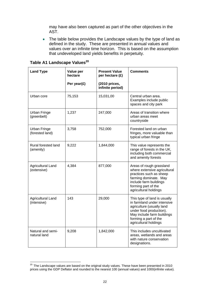may have also been captured as part of the other objectives in the AST.

• The table below provides the Landscape values by the type of land as defined in the study. These are presented in annual values and values over an infinite time horizon. This is based on the assumption that undeveloped land yields benefits in perpetuity.

| <b>Land Type</b>                       | Value per<br>hectare | <b>Present Value</b><br>per hectare (£) | <b>Comments</b>                                                                                                                                                                                     |
|----------------------------------------|----------------------|-----------------------------------------|-----------------------------------------------------------------------------------------------------------------------------------------------------------------------------------------------------|
|                                        | Per year $(E)$       | (2010 prices,<br>infinite period)       |                                                                                                                                                                                                     |
| Urban core                             | 75,153               | 15,031,00                               | Central urban area.<br>Examples include public<br>spaces and city park                                                                                                                              |
| <b>Urban Fringe</b><br>(greenbelt)     | 1,237                | 247,000                                 | Areas of transition where<br>urban areas meet<br>countryside                                                                                                                                        |
| <b>Urban Fringe</b><br>(forested land) | 3,758                | 752,000                                 | Forested land on urban<br>fringes, more valuable than<br>typical urban fringe                                                                                                                       |
| Rural forested land<br>(amenity)       | 9,222                | 1,844,000                               | This value represents the<br>range of forests in the UK,<br>including both commercial<br>and amenity forests                                                                                        |
| Agricultural Land<br>(extensive)       | 4,384                | 877,000                                 | Areas of rough grassland<br>where extensive agricultural<br>practices such as sheep<br>farming dominate. May<br>include farm buildings<br>forming part of the<br>agricultural holdings              |
| Agricultural Land<br>(intensive)       | 143                  | 29,000                                  | This type of land is usually<br>in farmland under intensive<br>agriculture (usually land<br>under food production).<br>May include farm buildings<br>forming a part of the<br>agricultural holdings |
| Natural and semi-<br>natural land      | 9,208                | 1,842,000                               | This includes uncultivated<br>areas, wetlands and areas<br>with nature conservation<br>designations.                                                                                                |

## **Table A1 Landscape Values<sup>20</sup>**

 $^{20}$  The Landscape values are based on the original study values. These have been presented in 2010 prices using the GDP Deflator and rounded to the nearest 100 (annual values) and 1000(infinite value).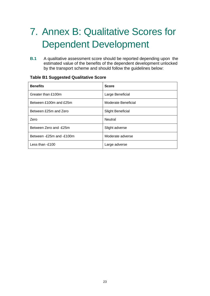# 7. Annex B: Qualitative Scores for Dependent Development

**B.1** A qualitative assessment score should be reported depending upon the estimated value of the benefits of the dependent development unlocked by the transport scheme and should follow the guidelines below:

| <b>Benefits</b>              | <b>Score</b>             |
|------------------------------|--------------------------|
| Greater than £100m           | Large Beneficial         |
| Between £100m and £25m       | Moderate Beneficial      |
| Between £25m and Zero        | <b>Slight Beneficial</b> |
| Zero                         | <b>Neutral</b>           |
| Between Zero and -£25m       | Slight adverse           |
| Between $-F25m$ and $-F100m$ | Moderate adverse         |
| Less than -£100              | Large adverse            |

### **Table B1 Suggested Qualitative Score**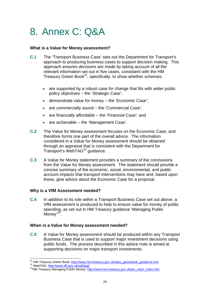## <span id="page-23-0"></span>8. Annex C: Q&A

### **What is a Value for Money assessment?**

- **C.1** The 'Transport Business Case' sets out the Department for Transport's approach to producing business cases to support decision making. This approach ensures decisions are made by taking account of all the relevant information set out in five cases, consistent with the HM Treasury Green Book<sup>21</sup>, specifically, to show whether schemes:
	- are supported by a robust case for change that fits with wider public policy objectives – the 'Strategic Case';
	- demonstrate value for money the 'Economic Case';
	- are commercially sound the 'Commercial Case';
	- $\bullet$  are financially affordable the 'Financial Case'; and
	- are achievable the 'Management Case'.
- **C.2** The Value for Money assessment focuses on the Economic Case, and therefore forms one part of the overall advice. The information considered in a Value for Money assessment should be obtained through an appraisal that is consistent with the Department for Transport's WebTAG<sup>22</sup> quidance.
- **C.3** A Value for Money statement provides a summary of the conclusions from the Value for Money assessment. The statement should provide a concise summary of the economic, social, environmental, and public account impacts that transport interventions may have and, based upon these, give advice about the Economic Case for a proposal.

#### **Why is a VfM Assessment needed?**

**C.4** In addition to its role within a Transport Business Case set out above, a VfM assessment is produced to help to ensure value for money of public spending, as set out in HM Treasury guidance 'Managing Public  $M$ oney'<sup>23</sup>.

#### **When is a Value for Money assessment needed?**

**C.5** A Value for Money assessment should be produced within any Transport Business Case that is used to support major investment decisions using public funds. The process described in this advice note is aimed at supporting decisions on major transport investments.

l,

<sup>&</sup>lt;sup>23</sup>HM Treasury Managing Public Money: http://www.hm-treasury.gov.uk/psr\_mpm\_index.htm <sup>21</sup> HM Treasury Green Book: <u>http://www.hm-treasury.gov.uk/data\_greenbook\_guidance.htm <sup>22</sup> WebTAG: <u>http://www.dft.gov.uk/webtag/</u><br><sup>23</sup>HM Treasury Managing Public Money: <u>http://www.hm-treasury.gov.uk/psr\_mpm\_index.htm</u><br></u>